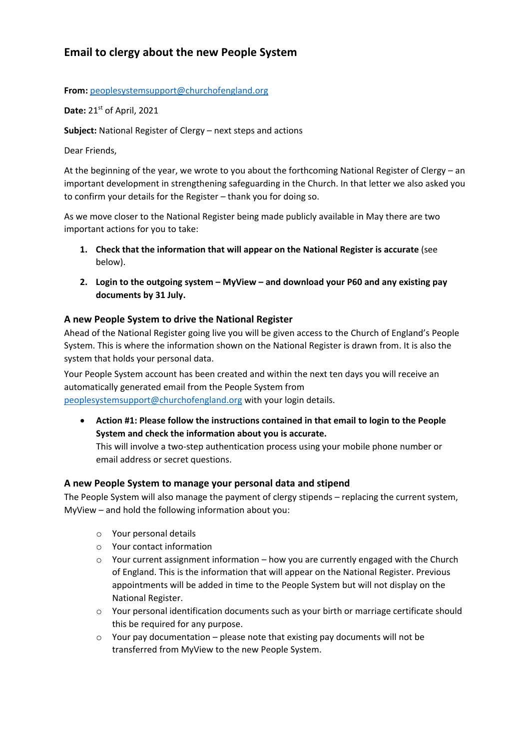# **Email to clergy about the new People System**

#### **From:** [peoplesystemsupport@churchofengland.org](mailto:peoplesystemsupport@churchofengland.org)

**Date:** 21st of April, 2021

**Subject:** National Register of Clergy – next steps and actions

Dear Friends,

At the beginning of the year, we wrote to you about the forthcoming National Register of Clergy – an important development in strengthening safeguarding in the Church. In that letter we also asked you to confirm your details for the Register – thank you for doing so.

As we move closer to the National Register being made publicly available in May there are two important actions for you to take:

- **1. Check that the information that will appear on the National Register is accurate** (see below).
- **2. Login to the outgoing system – MyView – and download your P60 and any existing pay documents by 31 July.**

### **A new People System to drive the National Register**

Ahead of the National Register going live you will be given access to the Church of England's People System. This is where the information shown on the National Register is drawn from. It is also the system that holds your personal data.

Your People System account has been created and within the next ten days you will receive an automatically generated email from the People System from [peoplesystemsupport@churchofengland.org](mailto:peoplesystemsupport@churchofengland.org) with your login details.

• **Action #1: Please follow the instructions contained in that email to login to the People System and check the information about you is accurate.** This will involve a two-step authentication process using your mobile phone number or

email address or secret questions.

### **A new People System to manage your personal data and stipend**

The People System will also manage the payment of clergy stipends – replacing the current system, MyView – and hold the following information about you:

- o Your personal details
- o Your contact information
- $\circ$  Your current assignment information how you are currently engaged with the Church of England. This is the information that will appear on the National Register. Previous appointments will be added in time to the People System but will not display on the National Register.
- o Your personal identification documents such as your birth or marriage certificate should this be required for any purpose.
- $\circ$  Your pay documentation please note that existing pay documents will not be transferred from MyView to the new People System.